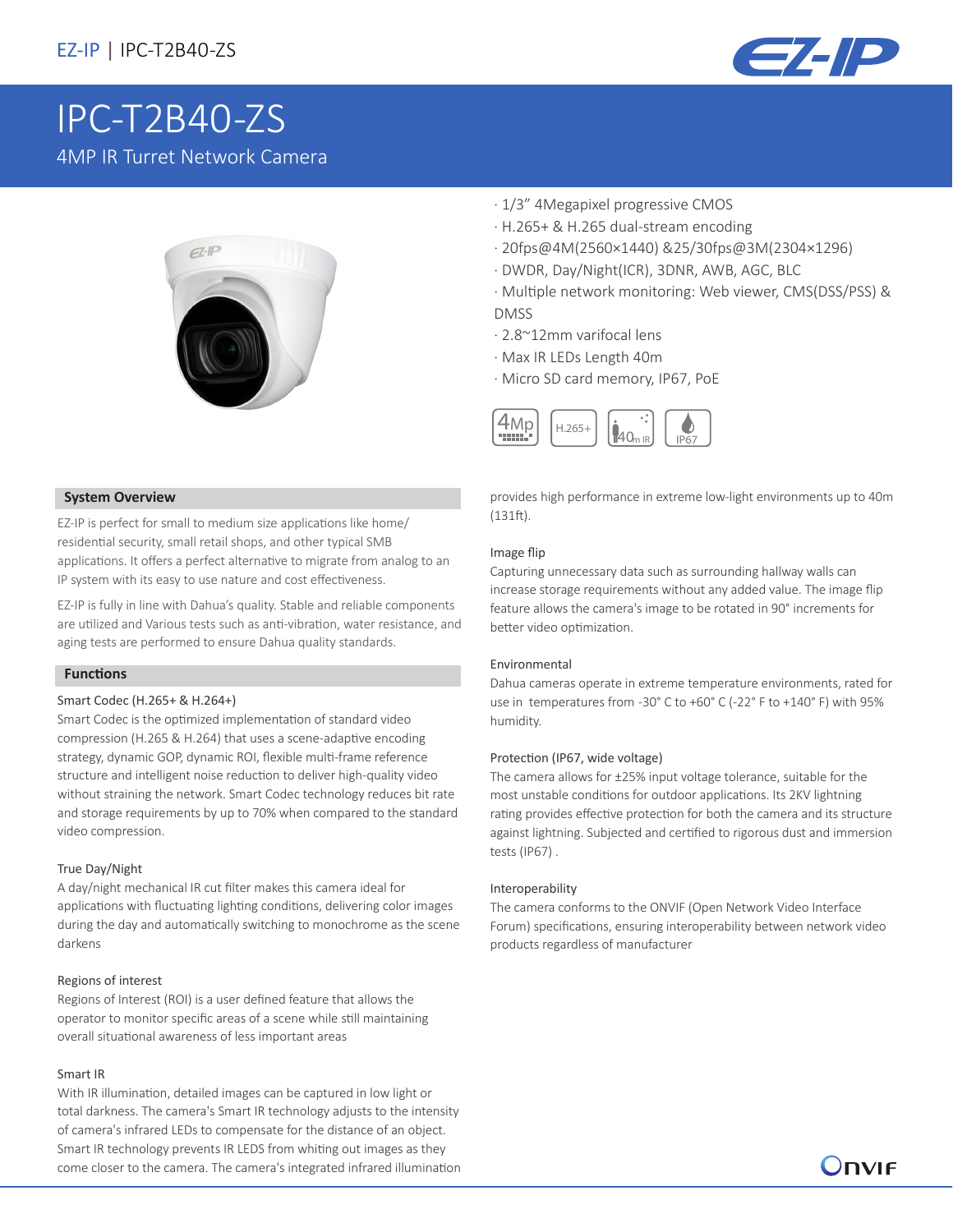

# [IPC-T2B40-ZS](https://www.ultramaster.ro/supraveghere-video.html) 4MP IR Turret Network Camera



### **System Overview**

EZ-IP is perfect for small to medium size applications like home/ residential security, small retail shops, and other typical SMB applications. It offers a perfect alternative to migrate from analog to an IP system with its easy to use nature and cost effectiveness.

EZ-IP is fully in line with Dahua's quality. Stable and reliable components are utilized and Various tests such as anti-vibration, water resistance, and aging tests are performed to ensure Dahua quality standards.

### **Functions**

#### Smart Codec (H.265+ & H.264+)

Smart Codec is the optimized implementation of standard video compression (H.265 & H.264) that uses a scene-adaptive encoding strategy, dynamic GOP, dynamic ROI, flexible multi-frame reference structure and intelligent noise reduction to deliver high-quality video without straining the network. Smart Codec technology reduces bit rate and storage requirements by up to 70% when compared to the standard video compression.

#### True Day/Night

A day/night mechanical IR cut filter makes this camera ideal for applications with fluctuating lighting conditions, delivering color images during the day and automatically switching to monochrome as the scene darkens

#### Regions of interest

Regions of Interest (ROI) is a user defined feature that allows the operator to monitor specific areas of a scene while still maintaining overall situational awareness of less important areas

#### Smart IR

With IR illumination, detailed images can be captured in low light or total darkness. The camera's Smart IR technology adjusts to the intensity of camera's infrared LEDs to compensate for the distance of an object. Smart IR technology prevents IR LEDS from whiting out images as they come closer to the camera. The camera's integrated infrared illumination

- · 1/3" 4Megapixel progressive CMOS
- · H.265+ & H.265 dual-stream encoding
- · 20fps@4M(2560×1440) &25/30fps@3M(2304×1296)
- · DWDR, Day/Night(ICR), 3DNR, AWB, AGC, BLC
- · Multiple network monitoring: Web viewer, CMS(DSS/PSS) & DMSS
- · 2.8~12mm varifocal lens
- · Max IR LEDs Length 40m
- · Micro SD card memory, IP67, PoE



provides high performance in extreme low-light environments up to 40m (131ft).

#### Image flip

Capturing unnecessary data such as surrounding hallway walls can increase storage requirements without any added value. The image flip feature allows the camera's image to be rotated in 90° increments for better video optimization.

#### Environmental

Dahua cameras operate in extreme temperature environments, rated for use in temperatures from -30° C to +60° C (-22° F to +140° F) with 95% humidity.

#### Protection (IP67, wide voltage)

The camera allows for ±25% input voltage tolerance, suitable for the most unstable conditions for outdoor applications. Its 2KV lightning rating provides effective protection for both the camera and its structure against lightning. Subjected and certified to rigorous dust and immersion tests (IP67) .

#### Interoperability

The camera conforms to the ONVIF (Open Network Video Interface Forum) specifications, ensuring interoperability between network video products regardless of manufacturer

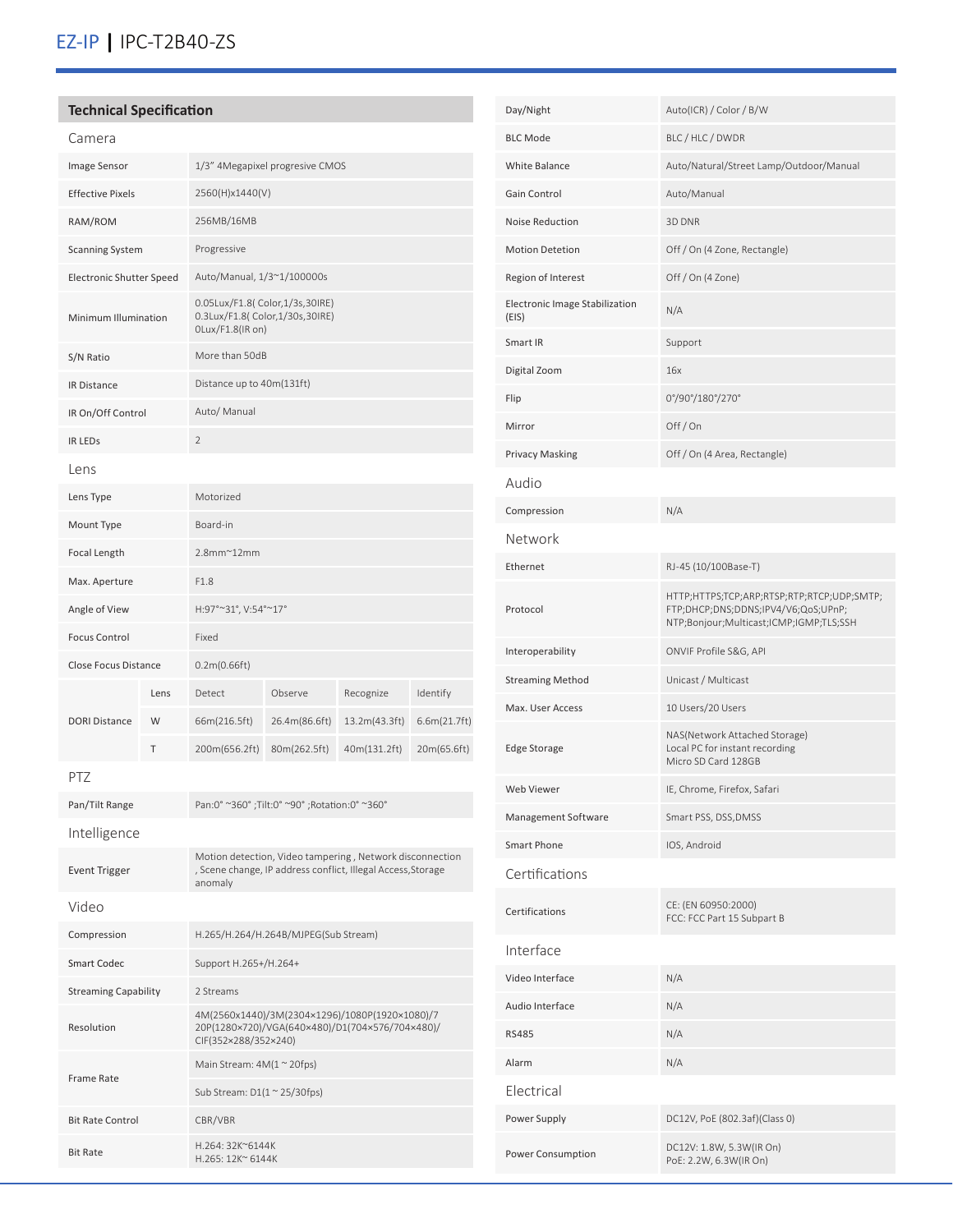# EZ-IP **|** IPC-T2B40-ZS

## **Technical Specification**

Resolution

Frame Rate

Bit Rate Control CBR/VBR

Bit Rate H.264: 32K~6144K<br>H.265: 12K~6144K

| Camera                      |      |                                                                                                                                     |               |               |              |
|-----------------------------|------|-------------------------------------------------------------------------------------------------------------------------------------|---------------|---------------|--------------|
| Image Sensor                |      | 1/3" 4Megapixel progresive CMOS                                                                                                     |               |               |              |
| <b>Effective Pixels</b>     |      | 2560(H)x1440(V)                                                                                                                     |               |               |              |
| RAM/ROM                     |      | 256MB/16MB                                                                                                                          |               |               |              |
| <b>Scanning System</b>      |      | Progressive                                                                                                                         |               |               |              |
| Electronic Shutter Speed    |      | Auto/Manual, 1/3~1/100000s                                                                                                          |               |               |              |
| Minimum Illumination        |      | 0.05Lux/F1.8( Color,1/3s,30IRE)<br>0.3Lux/F1.8( Color, 1/30s, 30IRE)<br>OLux/F1.8(IR on)                                            |               |               |              |
| S/N Ratio                   |      | More than 50dB                                                                                                                      |               |               |              |
| <b>IR Distance</b>          |      | Distance up to 40m(131ft)                                                                                                           |               |               |              |
| IR On/Off Control           |      | Auto/ Manual                                                                                                                        |               |               |              |
| <b>IR LEDS</b>              |      | $\overline{2}$                                                                                                                      |               |               |              |
| Lens                        |      |                                                                                                                                     |               |               |              |
| Lens Type                   |      | Motorized                                                                                                                           |               |               |              |
| Mount Type                  |      | Board-in                                                                                                                            |               |               |              |
| Focal Length                |      | $2.8$ mm $^{\sim}$ 12mm                                                                                                             |               |               |              |
| Max. Aperture               |      | F1.8                                                                                                                                |               |               |              |
| Angle of View               |      | H:97°~31°, V:54°~17°                                                                                                                |               |               |              |
| <b>Focus Control</b>        |      | Fixed                                                                                                                               |               |               |              |
| Close Focus Distance        |      | 0.2m(0.66ft)                                                                                                                        |               |               |              |
|                             | Lens | Detect                                                                                                                              | Observe       | Recognize     | Identify     |
| <b>DORI Distance</b>        | W    | 66m(216.5ft)                                                                                                                        | 26.4m(86.6ft) | 13.2m(43.3ft) | 6.6m(21.7ft) |
|                             | Τ    | 200m(656.2ft)                                                                                                                       | 80m(262.5ft)  | 40m(131.2ft)  | 20m(65.6ft)  |
| PTZ                         |      |                                                                                                                                     |               |               |              |
| Pan/Tilt Range              |      | Pan:0° ~360°; Tilt:0° ~90°; Rotation:0° ~360°                                                                                       |               |               |              |
| Intelligence                |      |                                                                                                                                     |               |               |              |
| <b>Event Trigger</b>        |      | Motion detection, Video tampering, Network disconnection<br>, Scene change, IP address conflict, Illegal Access, Storage<br>anomaly |               |               |              |
| Video                       |      |                                                                                                                                     |               |               |              |
| Compression                 |      | H.265/H.264/H.264B/MJPEG(Sub Stream)                                                                                                |               |               |              |
| <b>Smart Codec</b>          |      | Support H.265+/H.264+                                                                                                               |               |               |              |
| <b>Streaming Capability</b> |      | 2 Streams                                                                                                                           |               |               |              |
|                             |      | 4M(2560x1440)/3M(2304x1296)/1080P(1920x1080)/7                                                                                      |               |               |              |

20P(1280×720)/VGA(640×480)/D1(704×576/704×480)/

CIF(352×288/352×240)

H.265: 12K~ 6144K

Main Stream:  $4M(1 \sim 20$ fps) Sub Stream: D1(1 ~ 25/30fps)

| Day/Night                               | Auto(ICR) / Color / B/W                                                                                                      |  |  |
|-----------------------------------------|------------------------------------------------------------------------------------------------------------------------------|--|--|
| <b>BLC Mode</b>                         | BLC / HLC / DWDR                                                                                                             |  |  |
| White Balance                           | Auto/Natural/Street Lamp/Outdoor/Manual                                                                                      |  |  |
| Gain Control                            | Auto/Manual                                                                                                                  |  |  |
| Noise Reduction                         | 3D DNR                                                                                                                       |  |  |
| <b>Motion Detetion</b>                  | Off / On (4 Zone, Rectangle)                                                                                                 |  |  |
| Region of Interest                      | Off / On (4 Zone)                                                                                                            |  |  |
| Electronic Image Stabilization<br>(EIS) | N/A                                                                                                                          |  |  |
| Smart IR                                | Support                                                                                                                      |  |  |
| Digital Zoom                            | 16x                                                                                                                          |  |  |
| Flip                                    | 0°/90°/180°/270°                                                                                                             |  |  |
| Mirror                                  | Off/On                                                                                                                       |  |  |
| <b>Privacy Masking</b>                  | Off / On (4 Area, Rectangle)                                                                                                 |  |  |
| Audio                                   |                                                                                                                              |  |  |
| Compression                             | N/A                                                                                                                          |  |  |
| Network                                 |                                                                                                                              |  |  |
| Ethernet                                | RJ-45 (10/100Base-T)                                                                                                         |  |  |
| Protocol                                | HTTP;HTTPS;TCP;ARP;RTSP;RTP;RTCP;UDP;SMTP;<br>FTP;DHCP;DNS;DDNS;IPV4/V6;QoS;UPnP;<br>NTP;Bonjour;Multicast;ICMP;IGMP;TLS;SSH |  |  |
| Interoperability                        | ONVIF Profile S&G, API                                                                                                       |  |  |
| <b>Streaming Method</b>                 | Unicast / Multicast                                                                                                          |  |  |
| Max. User Access                        | 10 Users/20 Users                                                                                                            |  |  |
| <b>Edge Storage</b>                     | NAS(Network Attached Storage)<br>Local PC for instant recording<br>Micro SD Card 128GB                                       |  |  |
| Web Viewer                              | IE, Chrome, Firefox, Safari                                                                                                  |  |  |
| Management Software                     | Smart PSS, DSS, DMSS                                                                                                         |  |  |
| Smart Phone                             | IOS, Android                                                                                                                 |  |  |
| Certifications                          |                                                                                                                              |  |  |
| Certifications                          | CE: (EN 60950:2000)<br>FCC: FCC Part 15 Subpart B                                                                            |  |  |
| Interface                               |                                                                                                                              |  |  |
| Video Interface                         | N/A                                                                                                                          |  |  |
| Audio Interface                         | N/A                                                                                                                          |  |  |
| <b>RS485</b>                            | N/A                                                                                                                          |  |  |
| Alarm                                   | N/A                                                                                                                          |  |  |
| Electrical                              |                                                                                                                              |  |  |
| Power Supply                            | DC12V, PoE (802.3af)(Class 0)                                                                                                |  |  |
| Power Consumption                       | DC12V: 1.8W, 5.3W(IR On)<br>PoE: 2.2W, 6.3W(IR On)                                                                           |  |  |